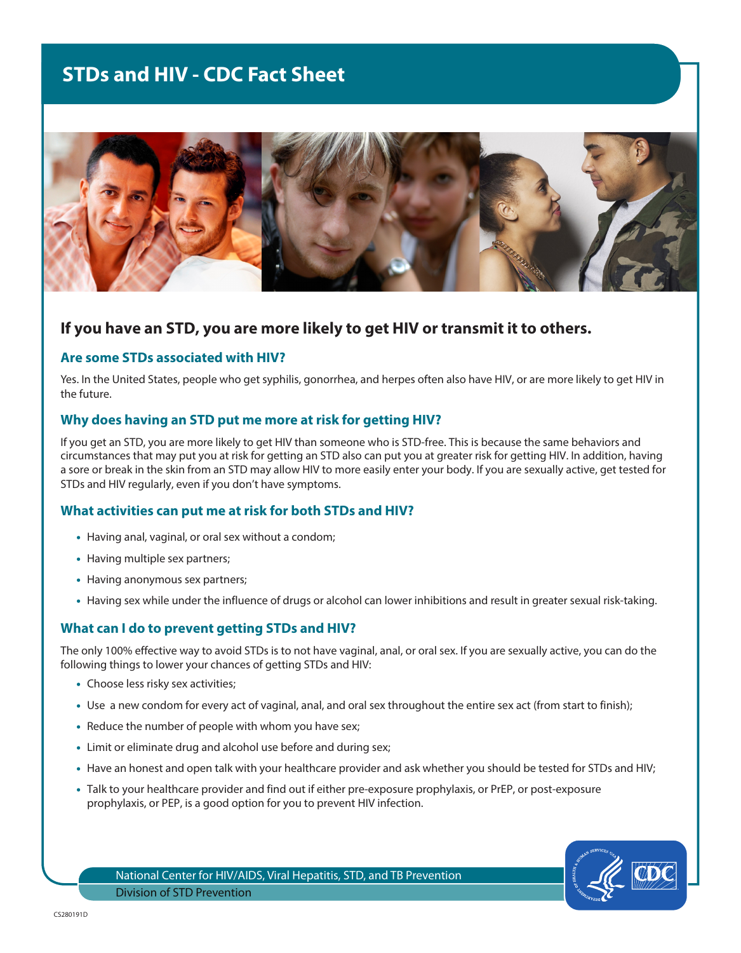# **STDs and HIV - CDC Fact Sheet**



# **If you have an STD, you are more likely to get HIV or transmit it to others.**

#### **Are some STDs associated with HIV?**

Yes. In the United States, people who get syphilis, gonorrhea, and herpes often also have HIV, or are more likely to get HIV in the future.

#### **Why does having an STD put me more at risk for getting HIV?**

If you get an STD, you are more likely to get HIV than someone who is STD-free. This is because the same behaviors and circumstances that may put you at risk for getting an STD also can put you at greater risk for getting HIV. In addition, having a sore or break in the skin from an STD may allow HIV to more easily enter your body. If you are sexually active, get tested for STDs and HIV regularly, even if you don't have symptoms.

## **What activities can put me at risk for both STDs and HIV?**

- Having anal, vaginal, or oral sex without a condom;
- Having multiple sex partners;
- Having anonymous sex partners;
- Having sex while under the influence of drugs or alcohol can lower inhibitions and result in greater sexual risk-taking.

## **What can I do to prevent getting STDs and HIV?**

The only 100% effective way to avoid STDs is to not have vaginal, anal, or oral sex. If you are sexually active, you can do the following things to lower your chances of getting STDs and HIV:

- Choose less risky sex activities;
- Use a new condom for every act of vaginal, anal, and oral sex throughout the entire sex act (from start to finish);
- Reduce the number of people with whom you have sex;
- Limit or eliminate drug and alcohol use before and during sex;
- Have an honest and open talk with your healthcare provider and ask whether you should be tested for STDs and HIV;
- Talk to your healthcare provider and find out if either pre-exposure prophylaxis, or PrEP, or post-exposure prophylaxis, or PEP, is a good option for you to prevent HIV infection.